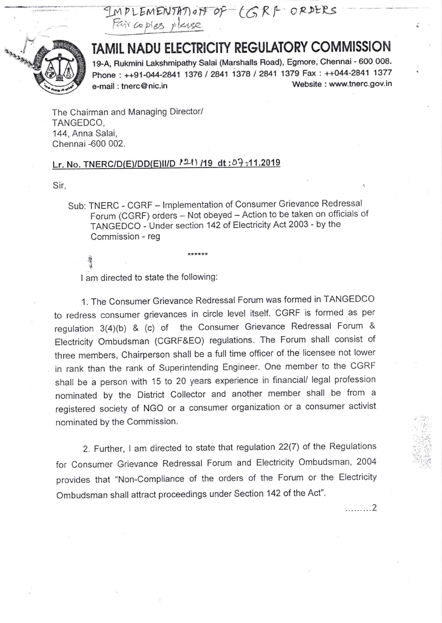PLEMENTATION OF LGRI-ORDERS Fair copies



## TAMIL NADU ELECTRICITY REGULATORY COMMISSION

19-A, Rukmini Lakshmipathy Salai (Marshalls Road), Egmore, Chennai - 600 OO8' Phone: ++91-044-2841 1376 / 2841 1378 / 2841 1379 Fax: ++044-2841 1377 e-mail: tnerc@nic.in Website : www.tnerc.gov.in

The Chairman and Managing Director/ TANGEDCO, 144, Anna Salai, Chennai -600 002.

## Lr. No. TNERC/D(E)/DD(E)|I/D  $121$ ) /19 dt:09:11.2019

Sir,

.? J

Sub: TNERC - CGRF - Implementation of Consumer Grievance Redressal Forum (CGRF) orders - Not obeyed - Action to be taken on officials of TANGEDCO - Under section 142 of Electricity Act 2003 - by the Commission - reg

I am directed to state the following:

1. The Consumer Grievance Redressal Forum was formed in TANGEDCO to redress consumer grievances in circle level itself. CGRF is formed as per regulation  $3(4)(b)$  & (c) of the Consumer Grievance Redressal Forum & Electricity ombudsman (CGRF&EO) regulations. The Forum shall consist of three members, chairperson shall be a full time officer of the licensee not lower in rank than the rank of Superintending Engineer. One member to the CGRF shall be a person with 15 to 20 years experience in financial/ legal profession nominated by the District collector and another member shall be from <sup>a</sup> registered society of NGO or a consumer organization or a consumer activist nominated by the Commission.

2. Further, I am directed to state that regulation 22(7) of the Regulations for consumer Grievance Redressal Forum and Electricity ombudsman, <sup>2004</sup> provides that "Non-compliance of the orders of the Forum or the Electricity Ombudsman shall attract proceedings under Section 142 of the Act"'

,........2